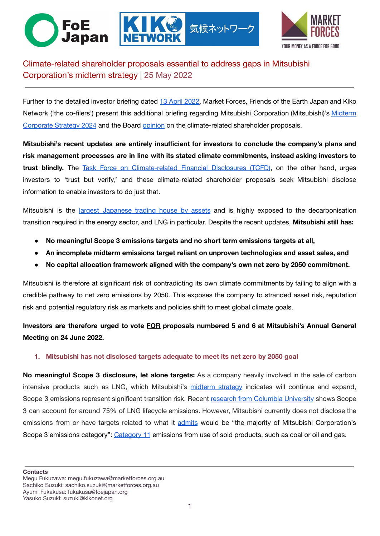



# Climate-related shareholder proposals essential to address gaps in Mitsubishi Corporation's midterm strategy | 25 May 2022

Further to the detailed investor briefing dated 13 April [2022,](https://www.marketforces.org.au/wp-content/uploads/2022/04/2022-04-Mitsubishi-investor-briefing-EN.pdf) Market Forces, Friends of the Earth Japan and Kiko Network ('the co-filers') present this additional briefing regarding Mitsubishi Corporation (Mitsubishi)'s [Midterm](https://www.mitsubishicorp.com/jp/en/about/plan/) [Corporate Strategy 2024](https://www.mitsubishicorp.com/jp/en/about/plan/) and the Board [opinion](https://www.mitsubishicorp.com/jp/en/pr/archive/2022/files/0000049102_file1.pdf) on the climate-related shareholder proposals.

気候ネットワーク

**Mitsubishi's recent updates are entirely insufficient for investors to conclude the company's plans and risk management processes are in line with its stated climate commitments, instead asking investors to trust blindly.** The Task Force on [Climate-related](https://assets.bbhub.io/company/sites/60/2021/07/2021-Metrics_Targets_Guidance-1.pdf) Financial Disclosures (TCFD), on the other hand, urges investors to 'trust but verify,' and these climate-related shareholder proposals seek Mitsubishi disclose information to enable investors to do just that.

Mitsubishi is the largest [Japanese](https://www.refinitiv.com/en) trading house by assets and is highly exposed to the decarbonisation transition required in the energy sector, and LNG in particular. Despite the recent updates, **Mitsubishi still has:**

- **No meaningful Scope 3 emissions targets and no short term emissions targets at all,**
- **An incomplete midterm emissions target reliant on unproven technologies and asset sales, and**
- **No capital allocation framework aligned with the company's own net zero by 2050 commitment.**

Mitsubishi is therefore at significant risk of contradicting its own climate commitments by failing to align with a credible pathway to net zero emissions by 2050. This exposes the company to stranded asset risk, reputation risk and potential regulatory risk as markets and policies shift to meet global climate goals.

## **Investors are therefore urged to vote FOR proposals numbered 5 and 6 at Mitsubishi's Annual General Meeting on 24 June 2022.**

#### **1. Mitsubishi has not disclosed targets adequate to meet its net zero by 2050 goal**

**No meaningful Scope 3 disclosure, let alone targets:** As a company heavily involved in the sale of carbon intensive products such as LNG, which Mitsubishi's [midterm](https://www.mitsubishicorp.com/jp/en/about/plan/) strategy indicates will continue and expand, Scope 3 emissions represent significant transition risk. Recent research from Columbia [University](https://www.energypolicy.columbia.edu/sites/default/files/file-uploads/Carbon-neutral%20LNG%20commentary,%20design%20reflow,%207.02.21%20.pdf) shows Scope 3 can account for around 75% of LNG lifecycle emissions. However, Mitsubishi currently does not disclose the emissions from or have targets related to what it [admits](https://www.mitsubishicorp.com/jp/en/about/plan/) would be "the majority of Mitsubishi Corporation's Scope 3 emissions category": [Category 11](https://ghgprotocol.org/sites/default/files/standards_supporting/Chapter11.pdf) emissions from use of sold products, such as coal or oil and gas.

**Contacts**

Megu Fukuzawa: megu.fukuzawa@marketforces.org.au Sachiko Suzuki: sachiko.suzuki@marketforces.org.au Ayumi Fukakusa: fukakusa@foejapan.org Yasuko Suzuki: suzuki@kikonet.org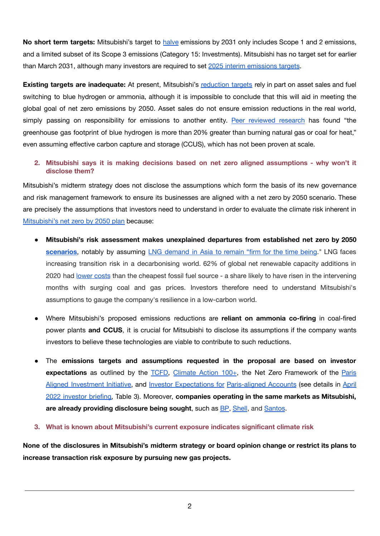**No short term targets:** Mitsubishi's target to [halve](https://www.mitsubishicorp.com/jp/en/carbon-neutral/pdf/20211018.pdf) emissions by 2031 only includes Scope 1 and 2 emissions, and a limited subset of its Scope 3 emissions (Category 15: Investments). Mitsubishi has no target set for earlier than March 2031, although many investors are required to set [2025 interim emissions targets](https://www.unepfi.org/net-zero-alliance/resources/target-setting-protocol-second-edition/).

**Existing targets are inadequate:** At present, Mitsubishi's [reduction](https://www.mitsubishicorp.com/jp/en/pr/archive/2021/html/0000047907.html) targets rely in part on asset sales and fuel switching to blue hydrogen or ammonia, although it is impossible to conclude that this will aid in meeting the global goal of net zero emissions by 2050. Asset sales do not ensure emission reductions in the real world, simply passing on responsibility for emissions to another entity. Peer [reviewed](https://onlinelibrary.wiley.com/doi/full/10.1002/ese3.956) research has found "the greenhouse gas footprint of blue hydrogen is more than 20% greater than burning natural gas or coal for heat," even assuming effective carbon capture and storage (CCUS), which has not been proven at scale.

### **2. Mitsubishi says it is making decisions based on net zero aligned assumptions - why won't it disclose them?**

Mitsubishi's midterm strategy does not disclose the assumptions which form the basis of its new governance and risk management framework to ensure its businesses are aligned with a net zero by 2050 scenario. These are precisely the assumptions that investors need to understand in order to evaluate the climate risk inherent in [Mitsubishi's net zero by 2050 plan](https://www.mitsubishicorp.com/jp/en/carbon-neutral/pdf/20211018.pdf) because:

- **Mitsubishi's risk assessment makes unexplained departures from established net zero by 2050 [scenarios](https://www.iea.org/reports/net-zero-by-2050)**, notably by assuming LNG [demand](https://mitsubishicorp.disclosure.site/en/themes/113#916) in Asia to remain "firm for the time being." LNG faces increasing transition risk in a decarbonising world. 62% of global net renewable capacity additions in 2020 had [lower](https://www.irena.org/-/media/Files/IRENA/Agency/Publication/2021/Jun/IRENA_Power_Generation_Costs_2020_Summary.pdf?la=en&hash=A27B0D0EF33A68679066E30E507DEA0FD99D9D48) costs than the cheapest fossil fuel source - a share likely to have risen in the intervening months with surging coal and gas prices. Investors therefore need to understand Mitsubishi's assumptions to gauge the company's resilience in a low-carbon world.
- Where Mitsubishi's proposed emissions reductions are **reliant on ammonia co-firing** in coal-fired power plants **and CCUS**, it is crucial for Mitsubishi to disclose its assumptions if the company wants investors to believe these technologies are viable to contribute to such reductions.
- The **emissions targets and assumptions requested in the proposal are based on investor expectations** as outlined by the [TCFD,](https://assets.bbhub.io/company/sites/60/2021/07/2021-Metrics_Targets_Guidance-1.pdf) [Climate](https://www.climateaction100.org/approach/the-three-asks/) Action 100+, the Net Zero Framework of the [Paris](https://www.parisalignedinvestment.org/media/2021/10/Net_Zero_Investment_Framework_final.pdf) Aligned [Investment](https://www.parisalignedinvestment.org/media/2021/10/Net_Zero_Investment_Framework_final.pdf) Initiative, and Investor [Expectations](https://sarasinandpartners.com/wp-content/uploads/2020/11/Investor-Expectations-for-Paris-aligned-Accounts.pdf) for [Paris-aligned](https://sarasinandpartners.com/wp-content/uploads/2020/11/Investor-Expectations-for-Paris-aligned-Accounts.pdf) Accounts (see details in [April](https://www.marketforces.org.au/wp-content/uploads/2022/04/2022-04-Mitsubishi-investor-briefing-EN.pdf) 2022 [investor](https://www.marketforces.org.au/wp-content/uploads/2022/04/2022-04-Mitsubishi-investor-briefing-EN.pdf) briefing, Table 3). Moreover, **companies operating in the same markets as Mitsubishi, are already providing disclosure being sought**, such as [BP](https://www.bp.com/content/dam/bp/business-sites/en/global/corporate/pdfs/investors/bp-annual-report-and-form-20f-2021.pdf), [Shell](https://reports.shell.com/annual-report/2021/_assets/downloads/shell-annual-report-2021.pdf), and [Santos](https://www.santos.com/wp-content/uploads/2022/03/Santos-2022-Climate-Change-Report_web.pdf).
- **3. What is known about Mitsubishi's current exposure indicates significant climate risk**

**None of the disclosures in Mitsubishi's midterm strategy or board opinion change or restrict its plans to increase transaction risk exposure by pursuing new gas projects.**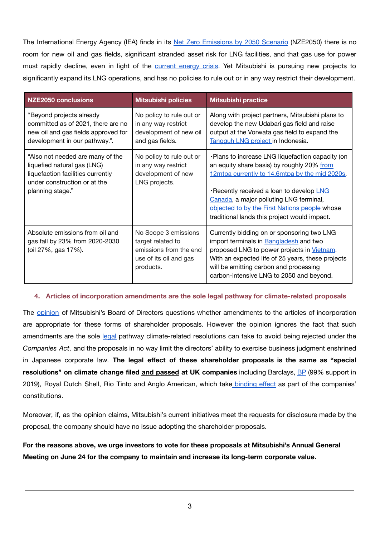The International Energy Agency (IEA) finds in its Net Zero [Emissions](https://www.iea.org/reports/net-zero-by-2050) by 2050 Scenario (NZE2050) there is no room for new oil and gas fields, significant stranded asset risk for LNG facilities, and that gas use for power must rapidly decline, even in light of the [current](https://www.iea.org/commentaries/what-does-the-current-global-energy-crisis-mean-for-energy-investment) energy crisis. Yet Mitsubishi is pursuing new projects to significantly expand its LNG operations, and has no policies to rule out or in any way restrict their development.

| <b>NZE2050 conclusions</b>                                                                                                                               | <b>Mitsubishi policies</b>                                                                                 | <b>Mitsubishi practice</b>                                                                                                                                                                                                                                                                                                               |
|----------------------------------------------------------------------------------------------------------------------------------------------------------|------------------------------------------------------------------------------------------------------------|------------------------------------------------------------------------------------------------------------------------------------------------------------------------------------------------------------------------------------------------------------------------------------------------------------------------------------------|
| "Beyond projects already<br>committed as of 2021, there are no<br>new oil and gas fields approved for<br>development in our pathway.".                   | No policy to rule out or<br>in any way restrict<br>development of new oil<br>and gas fields.               | Along with project partners, Mitsubishi plans to<br>develop the new Udabari gas field and raise<br>output at the Vorwata gas field to expand the<br>Tangguh LNG project in Indonesia.                                                                                                                                                    |
| "Also not needed are many of the<br>liquefied natural gas (LNG)<br>liquefaction facilities currently<br>under construction or at the<br>planning stage." | No policy to rule out or<br>in any way restrict<br>development of new<br>LNG projects.                     | . Plans to increase LNG liquefaction capacity (on<br>an equity share basis) by roughly 20% from<br>12mtpa currently to 14.6mtpa by the mid 2020s.<br>Recently received a loan to develop LNG<br>Canada, a major polluting LNG terminal,<br>objected to by the First Nations people whose<br>traditional lands this project would impact. |
| Absolute emissions from oil and<br>gas fall by 23% from 2020-2030<br>(oil 27%, gas 17%).                                                                 | No Scope 3 emissions<br>target related to<br>emissions from the end<br>use of its oil and gas<br>products. | Currently bidding on or sponsoring two LNG<br>import terminals in <b>Bangladesh</b> and two<br>proposed LNG to power projects in Vietnam.<br>With an expected life of 25 years, these projects<br>will be emitting carbon and processing<br>carbon-intensive LNG to 2050 and beyond.                                                     |

#### **4. Articles of incorporation amendments are the sole legal pathway for climate-related proposals**

The [opinion](https://www.mitsubishicorp.com/jp/en/pr/archive/2022/files/0000049102_file1.pdf) of Mitsubishi's Board of Directors questions whether amendments to the articles of incorporation are appropriate for these forms of shareholder proposals. However the opinion ignores the fact that such amendments are the sole [legal](https://www.clientearth.org/media/za2htevt/shareholder-proposal-on-climate-in-japan.pdf) pathway climate-related resolutions can take to avoid being rejected under the *Companies Act*, and the proposals in no way limit the directors' ability to exercise business judgment enshrined in Japanese corporate law. **The legal effect of these shareholder proposals is the same as "special resolutions" on climate change filed and passed at UK companies** including Barclays, [BP](https://www.climateaction100.org/news/climate-change-resolution-at-bp-agm-from-climate-action-100-investors-passes-with-over-99-shareholder-support/) (99% support in 2019), Royal Dutch Shell, Rio Tinto and Anglo American, which take [binding](https://www.clientearth.org/media/za2htevt/shareholder-proposal-on-climate-in-japan.pdf) effect as part of the companies' constitutions.

Moreover, if, as the opinion claims, Mitsubishi's current initiatives meet the requests for disclosure made by the proposal, the company should have no issue adopting the shareholder proposals.

**For the reasons above, we urge investors to vote for these proposals at Mitsubishi's Annual General Meeting on June 24 for the company to maintain and increase its long-term corporate value.**